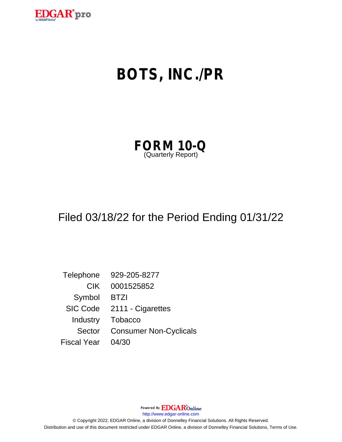

# **BOTS, INC./PR**

| <b>FORM 10-Q</b>   |  |  |
|--------------------|--|--|
| (Quarterly Report) |  |  |

## Filed 03/18/22 for the Period Ending 01/31/22

Telephone 929-205-8277 CIK 0001525852 Symbol BTZI SIC Code 2111 - Cigarettes Industry Tobacco Sector Consumer Non-Cyclicals Fiscal Year 04/30

Powered By **EDGAR**Online

http://www.edgar-online.com

© Copyright 2022, EDGAR Online, a division of Donnelley Financial Solutions. All Rights Reserved. Distribution and use of this document restricted under EDGAR Online, a division of Donnelley Financial Solutions, Terms of Use.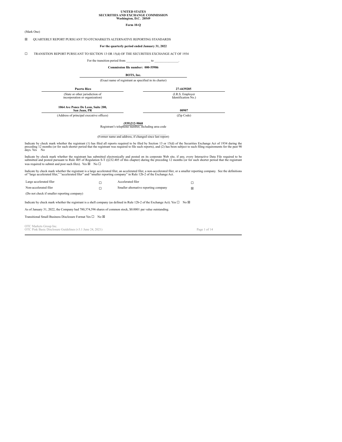## UNITED STATES<br>SECURITIES AND EXCHANGE COMMISSION<br>Washington, D.C. 20549

### Form 10-Q

### (Mark One)

### $\boxtimes$  QUARTERLY REPORT PURSUANT TO OTCMARKETS ALTERNATIVE REPORTING STANDARDS

### For the quarterly period ended January 31, 2022

TRANSITION REPORT PURSUANT TO SECTION 13 OR 15(d) OF THE SECURITIES EXCHANGE ACT OF 1934  $\Box$ For the transition period from

### Commission file number: 000-55986

to

BOTS, Inc.

(Exact name of registrant as specified in its charter)

**Puerto Rico** 

27-4439285

(I.R.S. Employer<br>Identification No.)

1064 Ave Ponce De Leon, Suite 200,<br>San Juan, PR

(Address of principal executive offices)

(State or other jurisdiction of<br>incorporation or organization)

00907 (Zin Code)

 $(939)$ 212-9068<br>Registrant's telephone number, including area code

### (Former name and address, if changed since last report)

Indicate by check mark whether the registrant (1) has filed all reports required to be filed by Section 13 or 15(d) of the Securities Exchange Act of 1934 during the preceding 12 months (or for such shorter period that the

Indicate by check mark whether the registrant has submitted electronically and posted on its corporate Web site, if any, every Interactive Data File required to be submitted and posted pursuant to Rule 405 of Regulation S

Indicate by check mark whether the registrant is a large accelerated filer, an accelerated filer, a non-accelerated filer, or a smaller reporting company. See the definitions of "large accelerated filer," "accelerated file

| Large accelerated filer | Accelerated filer                     |  |
|-------------------------|---------------------------------------|--|
| Non-accelerated filer   | Smaller alternative reporting company |  |

(Do not check if smaller reporting company)

Indicate by check mark whether the registrant is a shell company (as defined in Rule 12b-2 of the Exchange Act). Yes  $\square$  No  $\boxtimes$ 

As of January 31, 2022, the Company had 780,374,596 shares of common stock, \$0.0001 par value outstanding.

Transitional Small Business Disclosure Format Yes  $\Box$  No  $\boxtimes$ 

OTC Markets Group Inc.<br>OTC Pink Basic Disclosure Guidelines (v3.1 June 24, 2021)

Page 1 of 14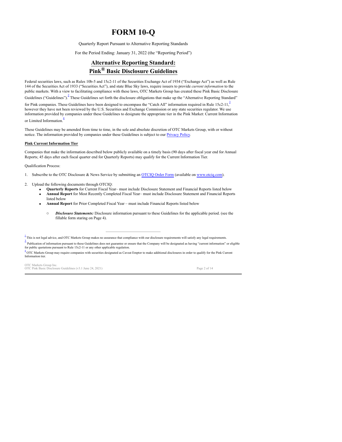### <span id="page-2-4"></span>**FORM 10-Q**

### Quarterly Report Pursuant to Alternative Reporting Standards

For the Period Ending: January 31, 2022 (the "Reporting Period")

### <span id="page-2-3"></span>**Alternative Reporting Standard: Pink® Basic Disclosure Guidelines**

Federal securities laws, such as Rules 10b-5 and 15c2-11 of the Securities Exchange Act of 1934 ("Exchange Act") as well as Rule 144 of the Securities Act of 1933 ("Securities Act"), and state Blue Sky laws, require issuers to provide *current information* to the public markets. With a view to facilitating compliance with these laws, OTC Markets Group has created these Pink Basic Disclosure Guidelines ("Guidelines"). <sup>[2](#page-2-0)</sup> These Guidelines set forth the disclosure obligations that make up the "Alternative Reporting Standard"

for Pink companies. These Guidelines have been designed to encompass the "Catch All" information required in Rule 15c2-11, $\frac{3}{2}$  $\frac{3}{2}$  $\frac{3}{2}$ however they have not been reviewed by the U.S. Securities and Exchange Commission or any state securities regulator. We use information provided by companies under these Guidelines to designate the appropriate tier in the Pink Market: Current Information or Limited Information.<sup>[4](#page-2-2)</sup>

<span id="page-2-5"></span>These Guidelines may be amended from time to time, in the sole and absolute discretion of OTC Markets Group, with or without notice. The information provided by companies under these Guidelines is subject to our Privacy Policy.

### **Pink Current Information Tier**

Companies that make the information described below publicly available on a timely basis (90 days after fiscal year end for Annual Reports; 45 days after each fiscal quarter end for Quarterly Reports) may qualify for the Current Information Tier.

Qualification Process:

1. Subscribe to the OTC Disclosure & News Service by submitting an OTCIQ Order Form (available on www.otciq.com).

2. Upload the following documents through OTCIQ:

- **Quarterly Reports** for Current Fiscal Year– must include Disclosure Statement and Financial Reports listed below **Annual Report** for Most Recently Completed Fiscal Year– must include Disclosure Statement and Financial Reports listed below · ·
- **Annual Report** for Prior Completed Fiscal Year must include Financial Reports listed below ·
	- *Disclosure Statements:* Disclosure information pursuant to these Guidelines for the applicable period. (see the fillable form staring on Page 4). o

<span id="page-2-0"></span> $2\overline{1}$  $2\overline{1}$  This is not legal advice, and OTC Markets Group makes no assurance that compliance with our disclosure requirements will satisfy any legal requirements.

<span id="page-2-1"></span><sup>[3](#page-2-4)</sup><br>Publication of information pursuant to these Guidelines does not guarantee or ensure that the Company will be designated as having "current information" or eligible for public quotations pursuant to Rule 15c2-11 or any other applicable regulation.

<span id="page-2-2"></span> $<sup>4</sup>$  $<sup>4</sup>$  $<sup>4</sup>$  OTC Markets Group may require companies with securities designated as Caveat Emptor to make additional disclosures in order to qualify for the Pink Current</sup> Information tie

OTC Markets Group Inc.<br>OTC Pink Basic Disclosure Guidelines (v3.1 June 24, 2021) Page 2 of 14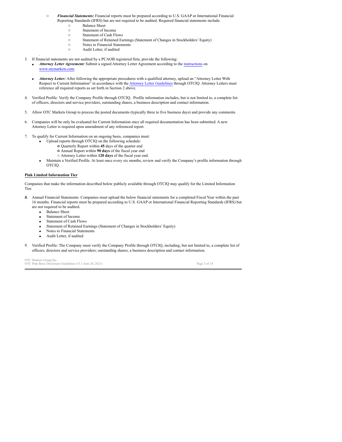- *Financial Statements:* Financial reports must be prepared according to U.S. GAAP or International Financial Reporting Standards (IFRS) but are not required to be audited. Required financial statements include: o
	- Balance Sheet o o

o

- Statement of Income
- Statement of Cash Flows o
- Statement of Retained Earnings (Statement of Changes in Stockholders' Equity) o o
	- Notes to Financial Statements
	- Audit Letter, if audited
- If financial statements are not audited by a PCAOB registered firm, provide the following: 3.
- *Attorney Letter Agreement:* Submit a signed Attorney Letter Agreement according to the instructions on www.otcmarkets.com. ·
	- *Attorney Letter:* After following the appropriate procedures with a qualified attorney, upload an "Attorney Letter With Respect to Current Information" in accordance with the Attorney Letter Guidelines through OTCIQ. Attorney Letters must reference all required reports as set forth in Section 2 above. ·
- 4. Verified Profile: Verify the Company Profile through OTCIQ. Profile information includes, but is not limited to, a complete list of officers, directors and service providers, outstanding shares, a business description and contact information.
- 5. Allow OTC Markets Group to process the posted documents (typically three to five business days) and provide any comments.
- Companies will be only be evaluated for Current Information once all required documentation has been submitted. A new Attorney Letter is required upon amendment of any referenced report. 6.
- 7. To qualify for Current Information on an ongoing basis, companies must:
	- Upload reports through OTCIQ on the following schedule:
		- Quarterly Report within **45** days of the quarter end **o**
		- Annual Report within **90 days** of the fiscal year end **o**
		- Attorney Letter within **120 days** of the fiscal year end. o
	- Maintain a Verified Profile. At least once every six months, review and verify the Company's profile information through OTCIQ. ·

### **Pink Limited Information Tier**

·

.

Companies that make the information described below publicly available through OTCIQ may qualify for the Limited Information Tier.

- Annual Financial Statements: Companies must upload the below financial statements for a completed Fiscal Year within the past 16 months. Financial reports must be prepared according to U.S. GAAP or International Financial Reporting Standards (IFRS) but are not required to be audited. *8.*
	- Balance Sheet ·
	- Statement of Income ·
	- Statement of Cash Flows ·
	- Statement of Retained Earnings (Statement of Changes in Stockholders' Equity) ·
	- Notes to Financial Statements ·
	- Audit Letter, if audited ·
- Verified Profile: The Company must verify the Company Profile through OTCIQ, including, but not limited to, a complete list of officers, directors and service providers; outstanding shares; a business description and contact information. 9.

OTC Markets Group Inc.<br>OTC Pink Basic Disclosure Guidelines (v3.1 June 24, 2021) Page 3 of 14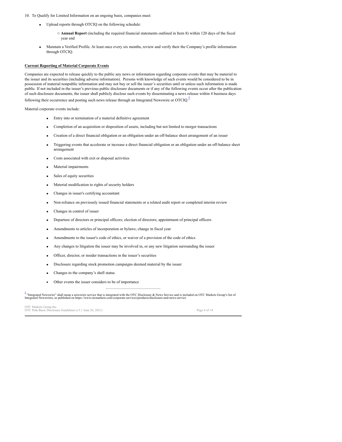### 10. To Qualify for Limited Information on an ongoing basis, companies must:

- Upload reports through OTCIQ on the following schedule:
	- **Annual Report** (including the required financial statements outlined in Item 8) within 120 days of the fiscal o year end
- Maintain a Verified Profile. At least once every six months, review and verify their the Company's profile information through OTCIQ. ·

### **Current Reporting of Material Corporate Events**

Companies are expected to release quickly to the public any news or information regarding corporate events that may be material to the issuer and its securities (including adverse information). Persons with knowledge of such events would be considered to be in possession of material nonpublic information and may not buy or sell the issuer's securities until or unless such information is made public. If not included in the issuer's previous public disclosure documents or if any of the following events occur after the publication of such disclosure documents, the issuer shall publicly disclose such events by disseminating a news release within 4 business days

following their occurrence and posting such news release through an Integrated Newswire or OTCIQ.<sup>[5](#page-4-0)</sup>

Material corporate events include:

- <span id="page-4-1"></span>• Entry into or termination of a material definitive agreement
- Completion of an acquisition or disposition of assets, including but not limited to merger transactions
- Creation of a direct financial obligation or an obligation under an off-balance sheet arrangement of an issuer ·
- Triggering events that accelerate or increase a direct financial obligation or an obligation under an off-balance sheet arrangement ·
- Costs associated with exit or disposal activities ·
- Material impairments ·
- Sales of equity securities ·
- Material modification to rights of security holders ·
- Changes in issuer's certifying accountant ·
- Non-reliance on previously issued financial statements or a related audit report or completed interim review ·
- Changes in control of issuer ·
- Departure of directors or principal officers; election of directors; appointment of principal officers ·
- Amendments to articles of incorporation or bylaws; change in fiscal year ·
- Amendments to the issuer's code of ethics, or waiver of a provision of the code of ethics
- Any changes to litigation the issuer may be involved in, or any new litigation surrounding the issuer ·
- Officer, director, or insider transactions in the issuer's securities ·
- Disclosure regarding stock promotion campaigns deemed material by the issuer ·
- Changes to the company's shell status ·
- Other events the issuer considers to be of importance ·

<span id="page-4-0"></span><sup>[5](#page-4-1)</sup> "Integrated Newswire" shall mean a newswire service that is integrated with the OTC Disclosure & News Service and is included on OTC Markets Group's list of<br>Integrated Newswires, as published on https://www.otcmarkets.

| OTC Markets Group Inc.                                    |              |
|-----------------------------------------------------------|--------------|
| OTC Pink Basic Disclosure Guidelines (v3.1 June 24, 2021) | Page 4 of 14 |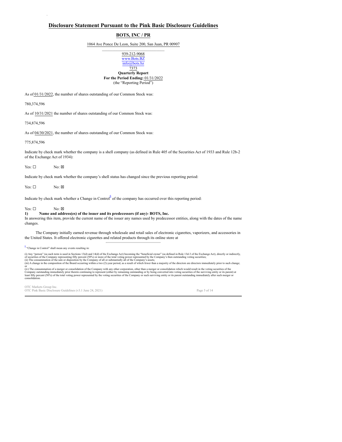### **Disclosure Statement Pursuant to the Pink Basic Disclosure Guidelines**

### **BOTS, INC / PR**

1064 Ave Ponce De Leon, Suite 200, San Juan, PR 00907  $\mathcal{L}_\text{max}$ 

939-212-9068 www.Bots.BZ info@bots.bz 7373 **Quarterly Report For the Period Ending:** 01/31/2022 (the "Reporting Period")

As of 01/31/2022, the number of shares outstanding of our Common Stock was:

780,374,596

·

As of 10/31/2021 the number of shares outstanding of our Common Stock was:

734,874,596

As of 04/30/2021, the number of shares outstanding of our Common Stock was:

775,874,596

Indicate by check mark whether the company is a shell company (as defined in Rule 405 of the Securities Act of 1933 and Rule 12b-2 of the Exchange Act of 1934):

No:  $\boxtimes$ Yes: ☐

Indicate by check mark whether the company's shell status has changed since the previous reporting period:

No: ⊠ Yes: ☐

<span id="page-5-1"></span>Indicate by check mark whether a Change in Control  $\sin^6$  $\sin^6$  of the company has occurred over this reporting period:

#### No:  $\boxtimes$ Yes: ☐

**Name and address(es) of the issuer and its predecessors (if any)- BOTS, Inc. 1)**

In answering this item, provide the current name of the issuer any names used by predecessor entities, along with the dates of the name changes.

The Company initially earned revenue through wholesale and retail sales of electronic cigarettes, vaporizers, and accessories in the United States. It offered electronic cigarettes and related products through its online store at

<span id="page-5-0"></span><sup>[6](#page-5-1)</sup> "Change in Control" shall mean any events resulting in:

(i) Any "person" (as such term is used in Sections 13(d) and 14(d) of the Exchange Act) becoming the "beneficial owner" (as defined in Rule 13d-3 of the Exchange Act), directly or indirectly, of included in Rule 13d-3 of t

or<br>(iv) The consummation of a merger or consolidation of the Company with any other corporation, other than a merger or consolidation which would result in the voting securities of the<br>Company outstanding immediately prior

OTC Markets Group Inc.<br>OTC Pink Basic Disclosure Guidelines (v3.1 June 24, 2021) Page 5 of 14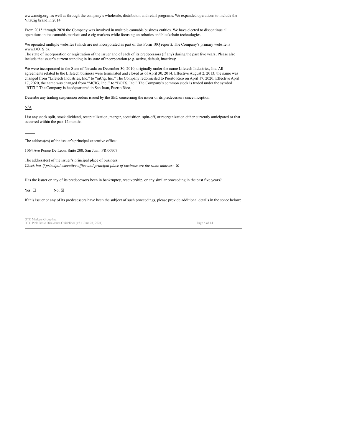www.mcig.org, as well as through the company's wholesale, distributor, and retail programs. We expanded operations to include the VitaCig brand in 2014.

From 2015 through 2020 the Company was involved in multiple cannabis business entities. We have elected to discontinue all operations in the cannabis markets and e-cig markets while focusing on robotics and blockchain technologies.

We operated multiple websites (which are not incorporated as part of this Form 10Q report). The Company's primary website is www.BOTS.bz.

The state of incorporation or registration of the issuer and of each of its predecessors (if any) during the past five years; Please also include the issuer's current standing in its state of incorporation (e.g. active, default, inactive):

We were incorporated in the State of Nevada on December 30, 2010, originally under the name Lifetech Industries, Inc. All agreements related to the Lifetech business were terminated and closed as of April 30, 2014. Effective August 2, 2013, the name was changed from "Lifetech Industries, Inc." to "mCig, Inc." The Company redomiciled to Puerto Rico on April 17, 2020. Effective April 17, 2020, the name was changed from "MCIG, Inc.," to "BOTS, Inc." The Company's common stock is traded under the symbol "BTZI." The Company is headquartered in San Juan, Puerto Rico.

Describe any trading suspension orders issued by the SEC concerning the issuer or its predecessors since inception:

N/A

List any stock split, stock dividend, recapitalization, merger, acquisition, spin-off, or reorganization either currently anticipated or that occurred within the past 12 months:

The address(es) of the issuer's principal executive office:

1064 Ave Ponce De Leon, Suite 200, San Juan, PR 00907

The address(es) of the issuer's principal place of business: *Check box if principal executive of ice and principal place of business are the same address:* ☒

Has the issuer or any of its predecessors been in bankruptcy, receivership, or any similar proceeding in the past five years?

 $No:  $\boxtimes$$ Yes: ☐

If this issuer or any of its predecessors have been the subject of such proceedings, please provide additional details in the space below:

OTC Markets Group Inc. OTC Pink Basic Disclosure Guidelines (v3.1 June 24, 2021) Page 6 of 14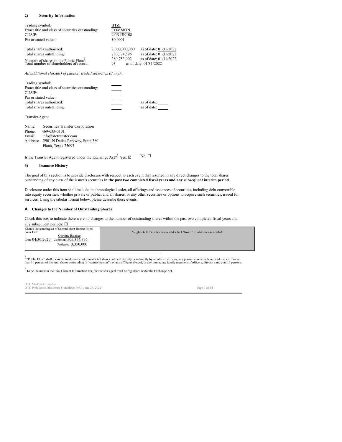#### **Security Information 2)**

| Trading symbol:                                                                                               | <b>BTZI</b>                                                           |
|---------------------------------------------------------------------------------------------------------------|-----------------------------------------------------------------------|
| Exact title and class of securities outstanding:                                                              | <b>COMMON</b>                                                         |
| CUSIP:                                                                                                        | <b>U0R13K108</b>                                                      |
| Par or stated value:                                                                                          | \$0,0001                                                              |
|                                                                                                               |                                                                       |
| Total shares authorized:                                                                                      | as of date: 01/31/2022<br>2,000,000,000                               |
| Total shares outstanding:                                                                                     | as of date: 01/31/2022<br>780,374,596                                 |
| Number of shares in the Public Float <sup><math>\pm</math></sup> :<br>Total number of shareholders of record: | 380,753,902<br>as of date: 01/31/2022<br>as of date: 01/31/2022<br>93 |

<span id="page-7-2"></span>*All additional class(es) of publicly traded securities (if any):*

| Trading symbol:                                  |             |
|--------------------------------------------------|-------------|
| Exact title and class of securities outstanding: |             |
| CUSIP:                                           |             |
| Par or stated value:                             |             |
| Total shares authorized:                         | as of date: |
| Total shares outstanding:                        | as of date: |

### Transfer Agent

| Name:    | Securities Transfer Corporation  |
|----------|----------------------------------|
| Phone:   | 469-633-0101                     |
| Email:   | info@stctransfer.com             |
| Address: | 2901 N Dallas Parkway, Suite 380 |
|          | Plano, Texas 75093               |

<span id="page-7-3"></span>No:  $\Box$ Is the Transfer Agent registered under the Exchange Act?<sup>[8](#page-7-1)</sup> Yes:  $\boxtimes$ 

#### **Issuance History 3)**

The goal of this section is to provide disclosure with respect to each event that resulted in any direct changes to the total shares outstanding of any class of the issuer's securities **in the past two completed fiscal years and any subsequent interim period**.

Disclosure under this item shall include, in chronological order, all offerings and issuances of securities, including debt convertible into equity securities, whether private or public, and all shares, or any other securities or options to acquire such securities, issued for services. Using the tabular format below, please describe these events.

### **Changes to the Number of Outstanding Shares A.**

Check this box to indicate there were no changes to the number of outstanding shares within the past two completed fiscal years and any subsequent periods:  $\Box$ 

| Shares Outstanding as of Second Most Recent Fiscal |                                                                        |
|----------------------------------------------------|------------------------------------------------------------------------|
| Year End <sup>-</sup>                              | *Right-click the rows below and select "Insert" to add rows as needed. |
| Opening Balance                                    |                                                                        |
| Date 04/30/2020<br>Common: 505.374.596             |                                                                        |
| Preferred: 3.350.000                               |                                                                        |
|                                                    |                                                                        |

<span id="page-7-0"></span><sup>2</sup> "Public Float" shall mean the total number of unrestricted shares not held directly or indirectly by an officer, director, any person who is the beneficial owner of more<br>than 10 percent of the total shares outstanding

<span id="page-7-1"></span> $8$  To be included in the Pink Current Information tier, the transfer agent must be registered under the Exchange Act.

OTC Markets Group Inc.<br>OTC Pink Basic Disclosure Guidelines (v3.1 June 24, 2021) Page 7 of 14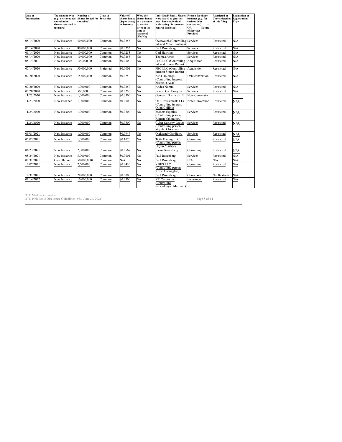| Date of<br><b>Transaction</b> | <b>Transaction type</b><br>(e.g. new issuance,<br>cancellation.<br>shares returned to<br>treasury) | Number of<br><b>Shares Issued (or Securities</b><br>cancelled) | <b>Class of</b> | Value of<br>shares issued<br>(S/per share)<br>at Issuance | Were the<br>shares issued<br>at a discount<br>to market<br>price at the<br>time of<br>issuance?<br>(Yes/No) | <b>Individual/Entity Shares</b><br>were issued to (entities<br>must have individual<br>with voting / investment<br>control disclosed). | <b>Reason for share</b><br>issuance (e.g. for<br>cash or debt<br>conversion)<br>OR-<br><b>Nature</b><br>of Services<br>Provided | <b>Restricted or</b><br><b>Unrestricted as</b><br>of this filing. | <b>Exemption or</b><br>Registration<br>Type. |
|-------------------------------|----------------------------------------------------------------------------------------------------|----------------------------------------------------------------|-----------------|-----------------------------------------------------------|-------------------------------------------------------------------------------------------------------------|----------------------------------------------------------------------------------------------------------------------------------------|---------------------------------------------------------------------------------------------------------------------------------|-------------------------------------------------------------------|----------------------------------------------|
| 05/14/2020                    | New Issuance                                                                                       | 50,000,000                                                     | Common          | \$0.0253                                                  | No                                                                                                          | Overwatch (Controlling<br>interest Mike Hawkins)                                                                                       | Services                                                                                                                        | Restricted                                                        | N/A                                          |
| 05/14/2020                    | New Issuance                                                                                       | 80.000.000                                                     | Common          | \$0.0253                                                  | No                                                                                                          | Paul Rosenberg                                                                                                                         | Services                                                                                                                        | Restricted                                                        | N/A                                          |
| 05/14/2020                    | New Issuance                                                                                       | 10,000,000                                                     | Common          | \$0.0253                                                  | No                                                                                                          | Carl Hawkins                                                                                                                           | Services                                                                                                                        | Restricted                                                        | N/A                                          |
| 05/14/2020                    | New Issuance                                                                                       | 10,000,000                                                     | Common          | \$0.0253                                                  | No                                                                                                          | Thomas Amon                                                                                                                            | Services                                                                                                                        | Restricted                                                        | N/A                                          |
| 05/14/200                     | New Issuance                                                                                       | 100.000.000                                                    | Common          | \$0.0300                                                  | No                                                                                                          | FBC LLC (Controlling<br>interest Simon Rubin)                                                                                          | Acquisition                                                                                                                     | Restricted                                                        | N/A                                          |
| 05/14/2020                    | New Issuance                                                                                       | 30,000,000                                                     | Preferred       | \$0.0001                                                  | No                                                                                                          | FBC LLC (Controlling<br>interest Simon Rubin)                                                                                          | Acquisition                                                                                                                     | Restricted                                                        | N/A                                          |
| 07/20/2020                    | New Issuance                                                                                       | 15,000,000                                                     | Common          | \$0.0250                                                  | No                                                                                                          | <b>APO</b> Holdings<br>(Controlling Interest<br>Michelle Atias)                                                                        | Debt conversion                                                                                                                 | Restricted                                                        | N/A                                          |
| 07/20/2020                    | New Issuance                                                                                       | 1.000.000                                                      | Common          | \$0.0250                                                  | No                                                                                                          | Andus Nomm                                                                                                                             | Services                                                                                                                        | Restricted                                                        | N/A                                          |
| 07/20/2020                    | New Issuance                                                                                       | 500.000                                                        | Common          | \$0.0250                                                  | No                                                                                                          | Levent Can Ersoydan                                                                                                                    | Services                                                                                                                        | Restricted                                                        | N/A                                          |
| 11/23/2020                    | New Issuance                                                                                       | 000,000                                                        | Common          | \$0.0500                                                  | No                                                                                                          | George L Richards III                                                                                                                  | <b>Note Conversion</b>                                                                                                          |                                                                   |                                              |
| 11/23/2020                    | New issuance                                                                                       | ,000,000                                                       | Common          | \$0.0500                                                  | No                                                                                                          | OTC Investments LLC<br>(Controlling interest)<br>Ollen Collins)                                                                        | Note Conversion                                                                                                                 | Restricted                                                        | N/A                                          |
| 11/24/2020                    | New Issuance                                                                                       | .000.000                                                       | Common          | \$0.0500                                                  | No                                                                                                          | Moneta Equities<br>Controlling person<br>Roman Vakhramov)                                                                              | Services                                                                                                                        | Restricted                                                        | N/A                                          |
| 11/24/2020                    | New Issuance                                                                                       | ,000,000                                                       | Common          | \$0.0500                                                  | No                                                                                                          | <b>Cyber Security Group</b><br>Controlling person<br>Vepkho Chkadua)                                                                   | Services                                                                                                                        | Restricted                                                        | N/A                                          |
| 05/01/2021                    | New Issuance                                                                                       | .000.000                                                       | Common          | \$0.0947                                                  | No                                                                                                          | Oleksandr Gordieiev                                                                                                                    | Services                                                                                                                        | Restricted                                                        | N/A                                          |
| 05/05/2021                    | New Issuance                                                                                       | ,000,000                                                       | Common          | \$0.1070                                                  | No                                                                                                          | TOA Trading LLC<br>Controlling person<br>Dayan Martinez                                                                                | Consulting                                                                                                                      | Restricted                                                        | N/A                                          |
| 06/23/2021                    | New Issuance                                                                                       | 2.000.000                                                      | Common          | \$0.0567                                                  | No                                                                                                          | Larisa Rozenberg                                                                                                                       | Consulting                                                                                                                      | Restricted                                                        | N/A                                          |
| 08/24/2021                    | New Issuance                                                                                       | 5.000.000                                                      | Common          | \$0.0001                                                  | No                                                                                                          | Paul Rosenberg                                                                                                                         | Services                                                                                                                        | Restricted                                                        | N/A                                          |
| 08/31/2021                    | Cancellation                                                                                       | 50,000,000)                                                    | Common          | N/A                                                       | No                                                                                                          | Paul Rosenberg                                                                                                                         | N/A                                                                                                                             | N/A                                                               | N/A                                          |
| 12/07/2021                    | New Issuance                                                                                       | 7,500,000                                                      | Common          | \$0.0430                                                  | No                                                                                                          | KBHS LLC<br>Controlling person<br>Kevin Harrington)                                                                                    | Consulting                                                                                                                      | Restricted                                                        | N/A                                          |
| 12/31/2021                    | New Issuance                                                                                       | 28.000.000                                                     | Common          | \$0.0000                                                  | No                                                                                                          | Paul Rosenberg                                                                                                                         | Conversion                                                                                                                      | Not Restricted                                                    | N/A                                          |
| 01/14/2022                    | New Issuance                                                                                       | 10,000,000                                                     | Common          | \$0.0500                                                  | No                                                                                                          | <b>XR</b> Casino Inc<br>Controlling<br>personDavan Martinez)                                                                           | Investment                                                                                                                      | Restricted                                                        | N/A                                          |

OTC Markets Group Inc.<br>OTC Pink Basic Disclosure Guidelines (v3.1 June 24, 2021) Page 8 of 14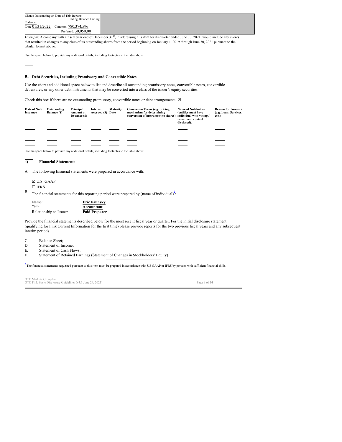| Shares Outstanding on Date of This Report: |  |
|--------------------------------------------|--|
| Ending Balance Ending<br>Balance:          |  |
| Date 01/31/2022<br>Common: 780,374,596     |  |
| Preferred: 30.050.00                       |  |

*Example:* A company with a fiscal year end of December 31<sup>st</sup>, in addressing this item for its quarter ended June 30, 2021, would include any events that resulted in changes to any class of its outstanding shares from the period beginning on January 1, 2019 through June 30, 2021 pursuant to the tabular format above.

Use the space below to provide any additional details, including footnotes to the table above:

### **Debt Securities, Including Promissory and Convertible Notes B.**

Use the chart and additional space below to list and describe all outstanding promissory notes, convertible notes, convertible debentures, or any other debt instruments that may be converted into a class of the issuer's equity securities.

Check this box if there are no outstanding promissory, convertible notes or debt arrangements:  $\boxtimes$ 

| Date of Note<br><b>Issuance</b> | Outstanding<br><b>Balance (\$)</b> | Principal<br>Amount at<br><b>Issuance (S)</b> | Interest<br>Accrued (\$) Date | <b>Maturity</b> | Conversion Terms (e.g. pricing<br>mechanism for determining<br>conversion of instrument to shares) | <b>Name of Noteholder</b><br>(entities must have<br>individual with voting/<br>investment control<br>disclosed). | <b>Reason for Issuance</b><br>(e.g. Loan, Services,<br>etc.) |
|---------------------------------|------------------------------------|-----------------------------------------------|-------------------------------|-----------------|----------------------------------------------------------------------------------------------------|------------------------------------------------------------------------------------------------------------------|--------------------------------------------------------------|
|                                 |                                    |                                               |                               |                 |                                                                                                    |                                                                                                                  |                                                              |
|                                 |                                    |                                               |                               |                 |                                                                                                    |                                                                                                                  |                                                              |
|                                 |                                    |                                               |                               |                 |                                                                                                    |                                                                                                                  |                                                              |
|                                 |                                    |                                               |                               |                 |                                                                                                    |                                                                                                                  |                                                              |

Use the space below to provide any additional details, including footnotes to the table above:

#### **Financial Statements 4)**

A. The following financial statements were prepared in accordance with:

☒ U.S. GAAP  $\Box$  IFRS

The financial statements for this reporting period were prepared by (name of individual) $\frac{9}{1}$  $\frac{9}{1}$  $\frac{9}{1}$ . B.

| Name:                   | <b>Eric Kilinsky</b> |
|-------------------------|----------------------|
| Title:                  | Accountant           |
| Relationship to Issuer: | <b>Paid Preparer</b> |

Provide the financial statements described below for the most recent fiscal year or quarter. For the initial disclosure statement (qualifying for Pink Current Information for the first time) please provide reports for the two previous fiscal years and any subsequent interim periods.

Balance Sheet; C.

- Statement of Income; D.
- Statement of Cash Flows; E.

Statement of Retained Earnings (Statement of Changes in Stockholders' Equity) F.

<span id="page-9-0"></span> $<sup>2</sup>$  The financial statements requested pursuant to this item must be prepared in accordance with US GAAP or IFRS by persons with sufficient financial skills.</sup>

OTC Markets Group Inc.<br>OTC Pink Basic Disclosure Guidelines (v3.1 June 24, 2021) Page 9 of 14

<span id="page-9-1"></span>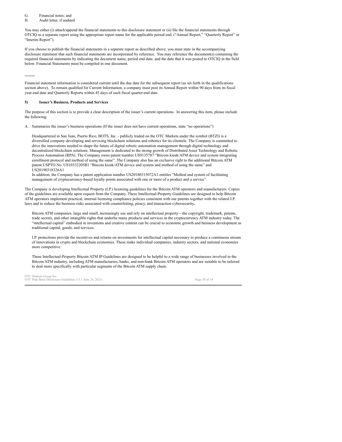Financial notes; and G.

Audit letter, if audited H.

You may either (i) attach/append the financial statements to this disclosure statement or (ii) file the financial statements through OTCIQ as a separate report using the appropriate report name for the applicable period end. ("Annual Report," "Quarterly Report" or "Interim Report").

If you choose to publish the financial statements in a separate report as described above, you must state in the accompanying disclosure statement that such financial statements are incorporated by reference. You may reference the document(s) containing the required financial statements by indicating the document name, period end date, and the date that it was posted to OTCIQ in the field below. Financial Statements must be compiled in one document.

Financial statement information is considered current until the due date for the subsequent report (as set forth in the qualifications section above). To remain qualified for Current Information, a company must post its Annual Report within 90 days from its fiscal year-end date and Quarterly Reports within 45 days of each fiscal quarter-end date.

#### **Issuer's Business, Products and Services 5)**

The purpose of this section is to provide a clear description of the issuer's current operations. In answering this item, please include the following:

A. Summarize the issuer's business operations (If the issuer does not have current operations, state "no operations")

Headquartered in San Juan, Puerto Rico, BOTS, Inc. - publicly traded on the OTC Markets under the symbol (BTZI) is a diversified company developing and servicing blockchain solutions and robotics for its clientele. The Company is committed to drive the innovations needed to shape the future of digital robotic automation management through digital technology and decentralized blockchain solutions. Management is dedicated to the strong growth of Distributed Asset Technology and Robotic Process Automation (RPA). The Company owns patent number US9135787 "Bitcoin kiosk/ATM device and system integrating enrollment protocol and method of using the same". The Company also has an exclusive right to the additional Bitcoin ATM patent USPTO No. US10332205B1 "Bitcoin kiosk/ATM device and system and method of using the same" and US20190318326A1

In addition, the Company has a patent application number US20180315072A1 entitles "Method and system of facilitating management of cryptocurrency-based loyalty points associated with one or more of a product and a service".

The Company is developing Intellectual Property (I.P.) licensing guidelines for the Bitcoin ATM operators and manufacturers. Copies of the guidelines are available upon request from the Company. These Intellectual-Property Guidelines are designed to help Bitcoin ATM operators implement practical, internal licensing compliance policies consistent with our patents together with the related I.P. laws and to reduce the business risks associated with counterfeiting, piracy, and transaction cybersecurity**.**

Bitcoin ATM companies, large and small, increasingly use and rely on intellectual property—the copyright, trademark, patents, trade secrets, and other intangible rights that underlie many products and services in the cryptocurrency ATM industry today. The "intellectual capital" embodied in inventions and creative content can be crucial to economic growth and business development as traditional capital, goods, and services.

I.P. protections provide the incentives and returns on investments for intellectual capital necessary to produce a continuous stream of innovations in crypto and blockchain economies. These make individual companies, industry sectors, and national economies more competitive.

These Intellectual-Property Bitcoin ATM IP Guidelines are designed to be helpful to a wide range of businesses involved in the Bitcoin ATM industry, including ATM manufacturers, banks, and non-bank Bitcoin ATM operators and are suitable to be tailored to deal more specifically with particular segments of the Bitcoin ATM supply chain.

OTC Markets Group Inc.<br>OTC Pink Basic Disclosure Guidelines (v3.1 June 24, 2021) Page 10 of 14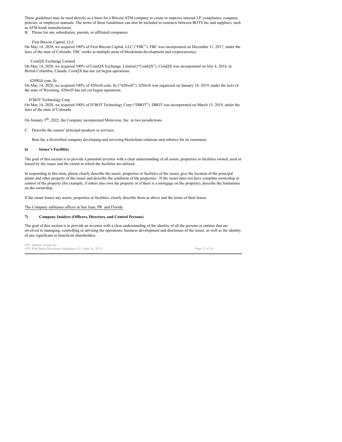These guidelines may be used directly as a basis for a Bitcoin ATM company to create or improve internal I.P. compliance, company policies, or employee manuals. The terms of these Guidelines can also be included in contracts between BOTS Inc and suppliers, such as ATM kiosk manufacturers.

B. Please list any subsidiaries, parents, or affiliated companies.

### First Bitcoin Capital, LLC

On May 14, 2020, we acquired 100% of First Bitcoin Capital, LLC ("FBC"). FBC was incorporated on December 11, 2017, under the laws of the state of Colorado. FBC works in multiple areas of blockchain development and cryptocurrency.

### CoinQX Exchange Limited

On May 14, 2020, we acquired 100% of CoinQX Exchange, Limited ("CoinQX"). CoinQX was incorporated on July 4, 2014, in British Columbia, Canada. CoinQX has not yet begun operations.

### 420Wifi.com, llc

On May 14, 2020, we acquired 100% of 420wifi.com, llc ("420wifi"). 420wifi was organized on January 18, 2019, under the laws of the state of Wyoming. 420wifi has not yet begun operations.

### D'BOT Technology Corp

On May 14, 2020, we acquired 100% of D'BOT Technology Corp ("DBOT"). DBOT was incorporated on March 15, 2019, under the laws of the state of Colorado.

On January 5<sup>th</sup>, 2022, the Company incorporated Metaverse, Inc. in two jurisdictions.

C. Describe the issuers' principal products or services.

Bots Inc a diversified company developing and servicing blockchain solutions and robotics for its customers.

#### **Issuer's Facilities 6)**

The goal of this section is to provide a potential investor with a clear understanding of all assets, properties or facilities owned, used or leased by the issuer and the extent in which the facilities are utilized.

In responding to this item, please clearly describe the assets, properties or facilities of the issuer, give the location of the principal plants and other property of the issuer and describe the condition of the properties. If the issuer does not have complete ownership or control of the property (for example, if others also own the property or if there is a mortgage on the property), describe the limitations on the ownership.

If the issuer leases any assets, properties or facilities, clearly describe them as above and the terms of their leases.

### The Company subleases offices in San Juan, PR and Florida.

#### **Company Insiders (Officers, Directors, and Control Persons) 7)**

The goal of this section is to provide an investor with a clear understanding of the identity of all the persons or entities that are involved in managing, controlling or advising the operations, business development and disclosure of the issuer, as well as the identity of any significant or beneficial shareholders.

OTC Markets Group Inc.<br>OTC Pink Basic Disclosure Guidelines (v3.1 June 24, 2021) Page 11 of 14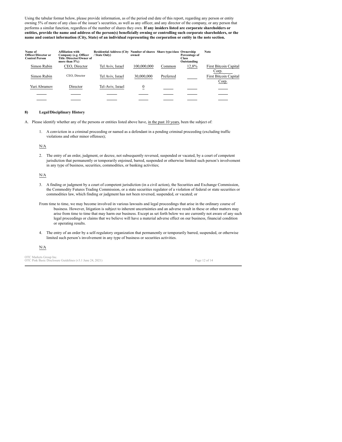Using the tabular format below, please provide information, as of the period end date of this report, regarding any person or entity owning 5% of more of any class of the issuer's securities, as well as any officer, and any director of the company, or any person that performs a similar function, regardless of the number of shares they own. **If any insiders listed are corporate shareholders or** entities, provide the name and address of the person(s) beneficially owning or controlling such corporate shareholders, or the name and contact information (City, State) of an individual representing the corporation or entity in the note section.

| Name of<br>Officer/Director or<br><b>Control Person</b> | <b>Affiliation with</b><br>Company (e.g. Officer<br><b>Title /Director/Owner of</b><br>more than 5%) | Residential Address (City Number of shares Share type/class Ownership<br>/ State Only) | owned       |           | Percentage of<br><b>Class</b><br>Outstanding | <b>Note</b>                           |
|---------------------------------------------------------|------------------------------------------------------------------------------------------------------|----------------------------------------------------------------------------------------|-------------|-----------|----------------------------------------------|---------------------------------------|
| Simon Rubin                                             | CEO, Director                                                                                        | Tel Aviv, Israel                                                                       | 100.000.000 | Common    | 12,8%                                        | <b>First Bitcoin Capital</b><br>Corp. |
| Simon Rubin                                             | CEO, Director                                                                                        | Tel Aviv, Israel                                                                       | 30,000,000  | Preferred |                                              | <b>First Bitcoin Capital</b><br>Corp. |
| Yuri Abramov                                            | Director                                                                                             | Tel-Aviv, Israel                                                                       | 0           |           |                                              |                                       |
|                                                         |                                                                                                      |                                                                                        |             |           |                                              |                                       |
|                                                         |                                                                                                      |                                                                                        |             |           |                                              |                                       |

#### **Legal/Disciplinary History 8)**

A. Please identify whether any of the persons or entities listed above have, in the past 10 years, been the subject of:

1. A conviction in a criminal proceeding or named as a defendant in a pending criminal proceeding (excluding traffic violations and other minor offenses);

N/A

2. The entry of an order, judgment, or decree, not subsequently reversed, suspended or vacated, by a court of competent jurisdiction that permanently or temporarily enjoined, barred, suspended or otherwise limited such person's involvement in any type of business, securities, commodities, or banking activities;

### $\rm N/A$

- 3. A finding or judgment by a court of competent jurisdiction (in a civil action), the Securities and Exchange Commission, the Commodity Futures Trading Commission, or a state securities regulator of a violation of federal or state securities or commodities law, which finding or judgment has not been reversed, suspended, or vacated; or
- From time to time, we may become involved in various lawsuits and legal proceedings that arise in the ordinary course of business. However, litigation is subject to inherent uncertainties and an adverse result in these or other matters may arise from time to time that may harm our business. Except as set forth below we are currently not aware of any such legal proceedings or claims that we believe will have a material adverse effect on our business, financial condition or operating results.
- The entry of an order by a self-regulatory organization that permanently or temporarily barred, suspended, or otherwise 4. limited such person's involvement in any type of business or securities activities.

N/A

OTC Markets Group Inc. OTC Pink Basic Disclosure Guidelines (v3.1 June 24, 2021) Page 12 of 14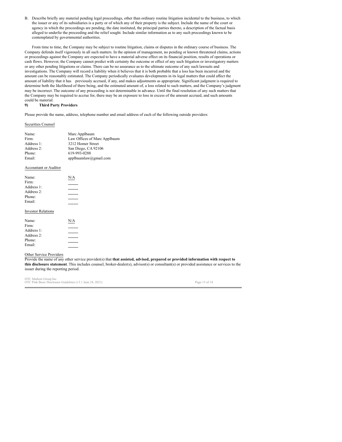B. Describe briefly any material pending legal proceedings, other than ordinary routine litigation incidental to the business, to which the issuer or any of its subsidiaries is a party or of which any of their property is the subject. Include the name of the court or agency in which the proceedings are pending, the date instituted, the principal parties thereto, a description of the factual basis alleged to underlie the proceeding and the relief sought. Include similar information as to any such proceedings known to be contemplated by governmental authorities.

From time to time, the Company may be subject to routine litigation, claims or disputes in the ordinary course of business. The Company defends itself vigorously in all such matters. In the opinion of management, no pending or known threatened claims, actions or proceedings against the Company are expected to have a material adverse effect on its financial position, results of operations or cash flows. However, the Company cannot predict with certainty the outcome or effect of any such litigation or investigatory matters or any other pending litigations or claims. There can be no assurance as to the ultimate outcome of any such lawsuits and investigations. The Company will record a liability when it believes that it is both probable that a loss has been incurred and the amount can be reasonably estimated. The Company periodically evaluates developments in its legal matters that could affect the amount of liability that it has previously accrued, if any, and makes adjustments as appropriate. Significant judgment is required to determine both the likelihood of there being, and the estimated amount of, a loss related to such matters, and the Company's judgment may be incorrect. The outcome of any proceeding is not determinable in advance. Until the final resolution of any such matters that the Company may be required to accrue for, there may be an exposure to loss in excess of the amount accrued, and such amounts could be material.

#### **Third Party Providers 9)**

Please provide the name, address, telephone number and email address of each of the following outside providers:

### Securities Counsel

| Name:      | Marc Applbaum                |
|------------|------------------------------|
| Firm:      | Law Offices of Marc Applbaum |
| Address 1: | 3212 Homer Street            |
| Address 2: | San Diego, CA 92106          |
| Phone:     | 619-993-0288                 |
| Email:     | applbaumlaw@gmail.com        |

### Accountant or Auditor

| Name:<br>Firm:<br>Address 1:<br>Address 2:<br>Phone:<br>Email: | N/A |
|----------------------------------------------------------------|-----|
| <b>Investor Relations</b>                                      |     |
| Name:<br>Firm:<br>Address 1:<br>Address $2$ :<br>Phone:        | N/A |

### Other Service Providers

Email:

Provide the name of any other service provider(s) that **that assisted, advised, prepared or provided information with respect to this disclosure statement**. This includes counsel, broker-dealer(s), advisor(s) or consultant(s) or provided assistance or services to the issuer during the reporting period.

OTC Markets Group Inc. OTC Pink Basic Disclosure Guidelines (v3.1 June 24, 2021) Page 13 of 14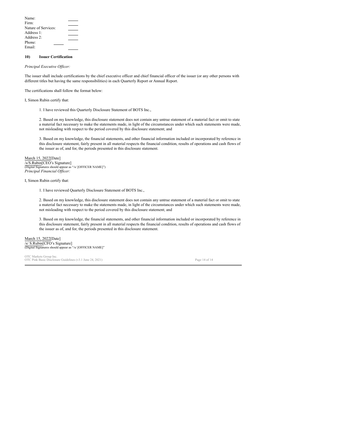| Name:               |  |
|---------------------|--|
| Firm:               |  |
| Nature of Services: |  |
| Address 1:          |  |
| Address $2$ :       |  |
| Phone:              |  |
| Email:              |  |

#### **Issuer Certification 10)**

*Principal Executive Of icer:*

The issuer shall include certifications by the chief executive officer and chief financial officer of the issuer (or any other persons with different titles but having the same responsibilities) in each Quarterly Report or Annual Report.

The certifications shall follow the format below:

I, Simon Rubin certify that:

1. I have reviewed this Quarterly Disclosure Statement of BOTS Inc.,

2. Based on my knowledge, this disclosure statement does not contain any untrue statement of a material fact or omit to state a material fact necessary to make the statements made, in light of the circumstances under which such statements were made, not misleading with respect to the period covered by this disclosure statement; and

3. Based on my knowledge, the financial statements, and other financial information included or incorporated by reference in this disclosure statement, fairly present in all material respects the financial condition, results of operations and cash flows of the issuer as of, and for, the periods presented in this disclosure statement.

March 15, 2022[Date] /s/S.Rubin[CEO's Signature] (Digital Signatures should appear as "/s/ [OFFICER NAME]") *Principal Financial Of icer:*

I, Simon Rubin certify that:

1. I have reviewed Quarterly Disclosure Statement of BOTS Inc.,

2. Based on my knowledge, this disclosure statement does not contain any untrue statement of a material fact or omit to state a material fact necessary to make the statements made, in light of the circumstances under which such statements were made, not misleading with respect to the period covered by this disclosure statement; and

3. Based on my knowledge, the financial statements, and other financial information included or incorporated by reference in this disclosure statement, fairly present in all material respects the financial condition, results of operations and cash flows of the issuer as of, and for, the periods presented in this disclosure statement.

March 15, 2022[Date] /s/ S.Rubin[CFO's Signature] (Digital Signatures should appear as "/s/ [OFFICER NAME]"

OTC Markets Group Inc. OTC Pink Basic Disclosure Guidelines (v3.1 June 24, 2021) Page 14 of 14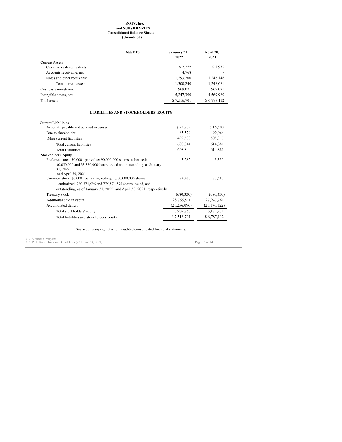### **BOTS, Inc. and SUBSIDIARIES Consolidated Balance Sheets (Unaudited)**

|                            | <b>ASSETS</b> | January 31,<br>2022 | April 30,<br>2021 |
|----------------------------|---------------|---------------------|-------------------|
| <b>Current Assets</b>      |               |                     |                   |
| Cash and cash equivalents  |               | \$2,272             | \$1,935           |
| Accounts receivable, net   |               | 4,768               |                   |
| Notes and other receivable |               | 1,293,200           | 1,246,146         |
| Total current assets       |               | 1,300,240           | 1,248,081         |
| Cost basis investment      |               | 969.071             | 969,071           |
| Intangible assets, net     |               | 5,247,390           | 4,569,960         |
| Total assets               |               | \$7,516,701         | \$6,787,112       |

### **LIABILITIES AND STOCKHOLDERS' EQUITY**

| Current Liabilibies                                                     |                |                |
|-------------------------------------------------------------------------|----------------|----------------|
| Accounts payable and accrued expenses                                   | \$23,732       | \$16,500       |
| Due to shareholder                                                      | 85,579         | 90,064         |
| Other current liabilities                                               | 499,533        | 508,317        |
| Total current liabilities                                               | 608,844        | 614,881        |
| <b>Total Liabilities</b>                                                | 608,844        | 614,881        |
| Stockholders' equity                                                    |                |                |
| Preferred stock, \$0.0001 par value; 90,000,000 shares authorized;      | 3,285          | 3,335          |
| $30,050,000$ and $33,350,000$ shares issued and outstanding, as January |                |                |
| 31, 2022                                                                |                |                |
| and April 30, 2021.                                                     |                |                |
| Common stock, \$0,0001 par value, voting; 2,000,000,000 shares          | 74.487         | 77,587         |
| authorized; 780,374,596 and 775,874,596 shares issued, and              |                |                |
| outstanding, as of January 31, 2022, and April 30, 2021, respectively.  |                |                |
| Treasury stock                                                          | (680, 330)     | (680, 330)     |
| Additional paid in capital                                              | 28,766,511     | 27,947,761     |
| Accumulated deficit                                                     | (21, 256, 096) | (21, 176, 122) |
| Total stockholders' equity                                              | 6,907,857      | 6,172,231      |
| Total liabilities and stockholders' equity                              | \$7,516,701    | \$6,787,112    |
|                                                                         |                |                |

See accompanying notes to unaudited consolidated financial statements.

OTC Markets Group Inc. OTC Pink Basic Disclosure Guidelines (v3.1 June 24, 2021) Page 15 of 14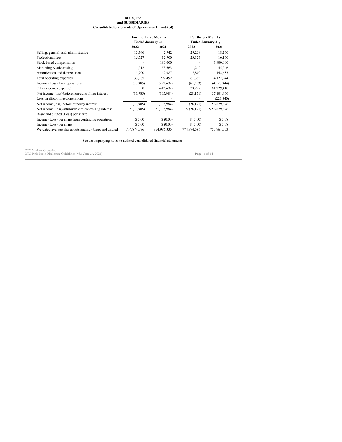### **BOTS, Inc. and SUBSIDIARIES Consolidated Statements of Operations (Unaudited)**

|                                                         | <b>For the Three Months</b> |              | <b>For the Six Months</b> |                          |  |
|---------------------------------------------------------|-----------------------------|--------------|---------------------------|--------------------------|--|
|                                                         | Ended January 31,           |              |                           | <b>Ended January 31,</b> |  |
|                                                         | 2022                        | 2021         | 2022                      | 2021                     |  |
| Selling, general, and administrative                    | 13,346                      | 2,942        | 29,258                    | 18,260                   |  |
| Professional fees                                       | 15,527                      | 12,900       | 23,123                    | 16,160                   |  |
| Stock based compensation                                |                             | 180,000      |                           | 3,900,000                |  |
| Marketing & advertising                                 | 1,212                       | 53,663       | 1,212                     | 55,246                   |  |
| Amortization and depreciation                           | 3,900                       | 42,987       | 7,800                     | 142,683                  |  |
| Total operating expenses                                | 33,985                      | 292,492      | 61,393                    | 4,127,944                |  |
| Income (Loss) from operations                           | (33,985)                    | (292, 492)   | (61, 393)                 | (4,127,944)              |  |
| Other income (expense)                                  | $\mathbf{0}$                | $(-13, 492)$ | 33,222                    | 61,229,410               |  |
| Net income (loss) before non-controlling interest       | (33,985)                    | (305, 984)   | (28, 171)                 | 57, 101, 466             |  |
| Loss on discontinued operations                         |                             |              |                           | (221, 840)               |  |
| Net income(loss) before minority interest               | (33,985)                    | (305, 984)   | (28, 171)                 | 56,879,626               |  |
| Net income (loss) attributable to controlling interest  | \$ (33,985)                 | \$ (305,984) | \$(28,171)                | \$56,879,626             |  |
| Basic and diluted (Loss) per share:                     |                             |              |                           |                          |  |
| Income (Loss) per share from continuing operations      | \$ 0.00                     | \$(0.00)     | \$(0.00)                  | \$0.08                   |  |
| Income (Loss) per share                                 | \$ 0.00                     | \$ (0.00)    | \$(0.00)                  | \$0.08                   |  |
| Weighted average shares outstanding - basic and diluted | 774,874,596                 | 774,986,335  | 774,874,596               | 755,961,553              |  |

See accompanying notes to audited consolidated financial statements.

OTC Markets Group Inc. OTC Pink Basic Disclosure Guidelines (v3.1 June 24, 2021) Page 16 of 14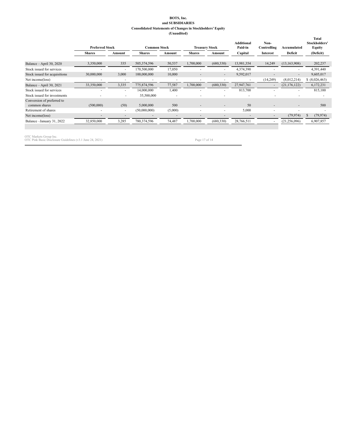### **BOTS, Inc. and SUBSIDIARIES Consolidated Statements of Changes in Stockholders' Equity (Unaudited)**

|                               |                        |                          |                     | 1       |                          |                          |                              |                          |                          |                                         |
|-------------------------------|------------------------|--------------------------|---------------------|---------|--------------------------|--------------------------|------------------------------|--------------------------|--------------------------|-----------------------------------------|
|                               | <b>Preferred Stock</b> |                          | <b>Common Stock</b> |         | <b>Treasury Stock</b>    |                          | <b>Additional</b><br>Paid-in | Non-<br>Controlling      | Accumulated              | <b>Total</b><br>Stockholders'<br>Equity |
|                               | <b>Shares</b>          | Amount                   | <b>Shares</b>       | Amount  | <b>Shares</b>            | Amount                   | Capital                      | Interest                 | Deficit                  | (Deficit)                               |
|                               |                        |                          |                     |         |                          |                          |                              |                          |                          |                                         |
| Balance - April 30, 2020      | 3,350,000              | 335                      | 505,374,596         | 50,537  | 1,700,000                | (680, 330)               | 13,981,354                   | 14,249                   | (13, 163, 908)           | 202,237                                 |
| Stock issued for services     |                        |                          | 170,500,000         | 17,050  |                          | ۰                        | 4,374,390                    |                          |                          | 4,391,440                               |
| Stock issued for acquisitions | 30,000,000             | 3,000                    | 100,000,000         | 10,000  |                          | $\overline{\phantom{a}}$ | 9,592,017                    | $\overline{\phantom{a}}$ | $\overline{\phantom{a}}$ | 9,605,017                               |
| Net income(loss)              |                        |                          |                     |         |                          | ۰                        |                              | (14,249)                 | (8,012,214)              | \$ (8,026,463)                          |
| Balance - April 30, 2021      | 33,350,000             | 3,335                    | 775,874,596         | 77,587  | 1,700,000                | (680, 330)               | 27,947,761                   | $\overline{\phantom{a}}$ | (21, 176, 122)           | 6,172,231                               |
| Stock issued for services     | ٠                      | $\overline{\phantom{a}}$ | 14,000,000          | 1,400   |                          | ٠                        | 813,700                      |                          | ٠                        | 815,100                                 |
| Stock issued for investments  |                        | $\overline{\phantom{a}}$ | 35,500,000          |         |                          |                          | ٠                            |                          |                          |                                         |
| Conversion of preferred to    |                        |                          |                     |         |                          |                          |                              |                          |                          |                                         |
| common shares                 | (500,000)              | (50)                     | 5,000,000           | 500     | $\overline{a}$           | $\overline{\phantom{a}}$ | 50                           | $\overline{\phantom{a}}$ | $\overline{\phantom{a}}$ | 500                                     |
| Retirement of shares          |                        | $\sim$                   | (50,000,000)        | (5,000) | $\overline{\phantom{a}}$ | ٠                        | 5,000                        | $\overline{\phantom{a}}$ | ٠                        |                                         |
| Net income(loss)              | ۰                      |                          |                     |         |                          |                          |                              | $\overline{\phantom{a}}$ | (79, 974)                | (79, 974)                               |
| Balance -January 31, 2022     | 32,850,000             | 3,285                    | 780,374,596         | 74,487  | 1,700,000                | (680, 330)               | 28,766,511                   | ٠                        | (21, 256, 096)           | 6,907,857                               |
|                               |                        |                          |                     |         |                          |                          |                              |                          |                          |                                         |

OTC Markets Group Inc. OTC Pink Basic Disclosure Guidelines (v3.1 June 24, 2021) Page 17 of 14

÷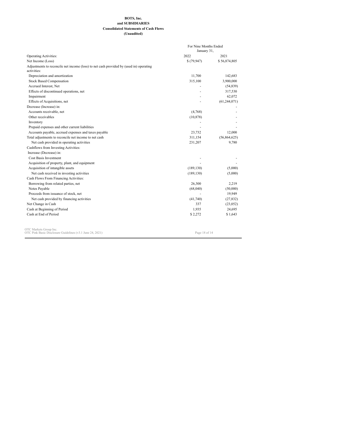### **BOTS, Inc. and SUBSIDIARIES Consolidated Statements of Cash Flows (Unaudited)**

|                                                                                                       | For Nine Months Ended<br>January 31, |                |  |
|-------------------------------------------------------------------------------------------------------|--------------------------------------|----------------|--|
| Operating Activities:                                                                                 | 2022                                 | 2021           |  |
| Net Income (Loss)                                                                                     | \$(79, 947)                          | \$56,874,805   |  |
| Adjustments to reconcile net income (loss) to net cash provided by (used in) operating<br>activities: |                                      |                |  |
| Depreciation and amortization                                                                         | 11,700                               | 142,683        |  |
| <b>Stock Based Compensation</b>                                                                       | 315,100                              | 3,900,000      |  |
| Accrued Interest, Net                                                                                 |                                      | (54, 839)      |  |
| Effects of discontinued operations, net                                                               |                                      | 317,530        |  |
| Impairment                                                                                            |                                      | 62,072         |  |
| Effects of Acquisitions, net                                                                          |                                      | (61, 244, 071) |  |
| Decrease (Increase) in:                                                                               |                                      |                |  |
| Accounts receivable, net                                                                              | (4,768)                              |                |  |
| Other receivables                                                                                     | (10, 878)                            |                |  |
| Inventory                                                                                             |                                      |                |  |
| Prepaid expenses and other current liabilities                                                        |                                      |                |  |
| Accounts payable, accrued expenses and taxes payable                                                  | 23,732                               | 12.000         |  |
| Total adjustments to reconcile net income to net cash                                                 | 311,154                              | (56,864,625)   |  |
| Net cash provided in operating activities                                                             | 231,207                              | 9,780          |  |
| Cashflows from Investing Activities:                                                                  |                                      |                |  |
| Increase (Decrease) in:                                                                               |                                      |                |  |
| Cost Basis Investment                                                                                 |                                      |                |  |
| Acquisition of property, plant, and equipment                                                         |                                      |                |  |
| Acquisition of intangible assets                                                                      | (189, 130)                           | (5,000)        |  |
| Net cash received in investing activities                                                             | (189, 130)                           | (5,000)        |  |
| Cash Flows From Financing Activities:                                                                 |                                      |                |  |
| Borrowing from related parties, net                                                                   | 26,300                               | 2,219          |  |
| Notes Payable                                                                                         | (68,040)                             | (50,000)       |  |
| Proceeds from issuance of stock, net                                                                  |                                      | 19,949         |  |
| Net cash provided by financing activities                                                             | (41,740)                             | (27, 832)      |  |
| Net Change in Cash                                                                                    | 337                                  | (23, 052)      |  |
| Cash at Beginning of Period                                                                           | 1,935                                | 24,695         |  |
| Cash at End of Period                                                                                 | \$2,272                              | \$1,643        |  |
| OTC Markets Group Inc.<br>OTC Pink Basic Disclosure Guidelines (v3.1 June 24, 2021)                   |                                      |                |  |
|                                                                                                       | Page 18 of 14                        |                |  |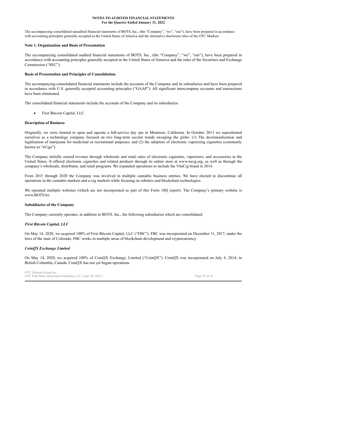### **NOTES TO AUDITED FINANCIAL STATEMENTS For the Quarter Ended January 31, 2022**

The accompanying consolidated unaudited financial statements of BOTS, Inc., (the "Company", "we", "our"), have been prepared in accordance with accounting principles generally accepted in the United States of America and the alternative disclosure rules of the OTC Markets.

### **Note 1. Organization and Basis of Presentation**

The accompanying consolidated audited financial statements of BOTS, Inc., (the "Company", "we", "our"), have been prepared in accordance with accounting principles generally accepted in the United States of America and the rules of the Securities and Exchange Commission ("SEC").

### **Basis of Presentation and Principles of Consolidation**

The accompanying consolidated financial statements include the accounts of the Company and its subsidiaries and have been prepared in accordance with U.S. generally accepted accounting principles ("GAAP"). All significant intercompany accounts and transactions have been eliminated.

The consolidated financial statements include the accounts of the Company and its subsidiaries:

· First Bitcoin Capital, LLC

### **Description of Business**

Originally, we were formed to open and operate a full-service day spa in Montrose, California. In October 2013 we repositioned ourselves as a technology company focused on two long-term secular trends sweeping the globe: (1) The decriminalization and legalization of marijuana for medicinal or recreational purposes; and (2) the adoption of electronic vaporizing cigarettes (commonly known as "eCigs").

The Company initially earned revenue through wholesale and retail sales of electronic cigarettes, vaporizers, and accessories in the United States. It offered electronic cigarettes and related products through its online store at www.mcig.org, as well as through the company's wholesale, distributor, and retail programs. We expanded operations to include the VitaCig brand in 2014.

From 2015 through 2020 the Company was involved in multiple cannabis business entities. We have elected to discontinue all operations in the cannabis markets and e-cig markets while focusing on robotics and blockchain technologies.

We operated multiple websites (which are not incorporated as part of this Form 10Q report). The Company's primary website is www.BOTS.bz.

### **Subsidiaries of the Company**

The Company currently operates, in addition to BOTS, Inc., the following subsidiaries which are consolidated:

### *First Bitcoin Capital, LLC*

On May 14, 2020, we acquired 100% of First Bitcoin Capital, LLC ("FBC"). FBC was incorporated on December 11, 2017, under the laws of the state of Colorado. FBC works in multiple areas of blockchain development and cryptocurrency.

### *CoinQX Exchange Limited*

On May 14, 2020, we acquired 100% of CoinQX Exchange, Limited ("CoinQX"). CoinQX was incorporated on July 4, 2014, in British Columbia, Canada. CoinQX has not yet begun operations.

OTC Markets Group Inc. OTC Pink Basic Disclosure Guidelines (v3.1 June 24, 2021) Page 19 of 14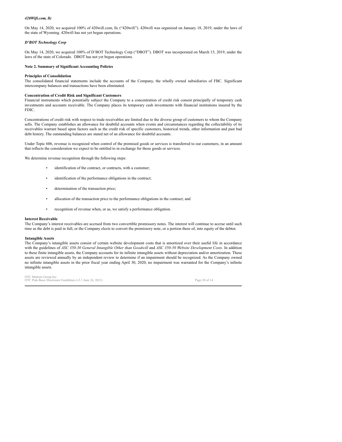### *420Wifi.com, llc*

On May 14, 2020, we acquired 100% of 420wifi.com, llc ("420wifi"). 420wifi was organized on January 18, 2019, under the laws of the state of Wyoming. 420wifi has not yet begun operations.

### *D'BOT Technology Corp*

On May 14, 2020, we acquired 100% of D'BOT Technology Corp ("DBOT"). DBOT was incorporated on March 15, 2019, under the laws of the state of Colorado. DBOT has not yet begun operations.

### **Note 2. Summary of Significant Accounting Policies**

### **Principles of Consolidation**

The consolidated financial statements include the accounts of the Company, the wholly owned subsidiaries of FBC. Significant intercompany balances and transactions have been eliminated.

### **Concentration of Credit Risk and Significant Customers**

Financial instruments which potentially subject the Company to a concentration of credit risk consist principally of temporary cash investments and accounts receivable. The Company places its temporary cash investments with financial institutions insured by the FDIC.

Concentrations of credit risk with respect to trade receivables are limited due to the diverse group of customers to whom the Company sells. The Company establishes an allowance for doubtful accounts when events and circumstances regarding the collectability of its receivables warrant based upon factors such as the credit risk of specific customers, historical trends, other information and past bad debt history. The outstanding balances are stated net of an allowance for doubtful accounts.

Under Topic 606, revenue is recognized when control of the promised goods or services is transferred to our customers, in an amount that reflects the consideration we expect to be entitled to in exchange for those goods or services.

We determine revenue recognition through the following steps:

- identification of the contract, or contracts, with a customer;
- identification of the performance obligations in the contract;
- determination of the transaction price;
- allocation of the transaction price to the performance obligations in the contract; and
- recognition of revenue when, or as, we satisfy a performance obligation.

### **Interest Receivable**

The Company's interest receivables are accrued from two convertible promissory notes. The interest will continue to accrue until such time as the debt is paid in full, or the Company elects to convert the promissory note, or a portion there of, into equity of the debtor.

### **Intangible Assets**

The Company's intangible assets consist of certain website development costs that is amortized over their useful life in accordance with the guidelines of *ASC 350-30 General Intangible Other than Goodwill* and *ASC 350-50 Website Development Costs*. In addition to these finite intangible assets, the Company accounts for its infinite intangible assets without depreciation and/or amortization. These assets are reviewed annually by an independent review to determine if an impairment should be recognized. As the Company owned no infinite intangible assets in the prior fiscal year ending April 30, 2020, no impairment was warranted for the Company's infinite intangible assets.

OTC Markets Group Inc.<br>OTC Pink Basic Disclosure Guidelines (v3.1 June 24, 2021) Page 20 of 14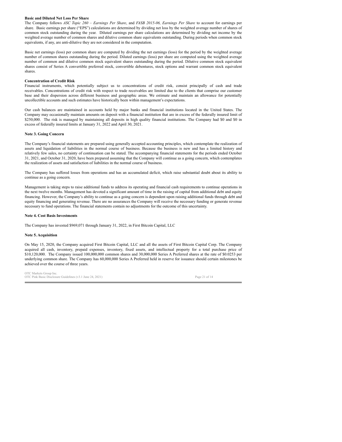### **Basic and Diluted Net Loss Per Share**

The Company follows *ASC Topic 260 – Earnings Per Share*, and *FASB 2015-06, Earnings Per Share* to account for earnings per share. Basic earnings per share ("EPS") calculations are determined by dividing net loss by the weighted average number of shares of common stock outstanding during the year. Diluted earnings per share calculations are determined by dividing net income by the weighted average number of common shares and dilutive common share equivalents outstanding. During periods when common stock equivalents, if any, are anti-dilutive they are not considered in the computation.

Basic net earnings (loss) per common share are computed by dividing the net earnings (loss) for the period by the weighted average number of common shares outstanding during the period. Diluted earnings (loss) per share are computed using the weighted average number of common and dilutive common stock equivalent shares outstanding during the period. Dilutive common stock equivalent shares consist of Series A convertible preferred stock, convertible debentures, stock options and warrant common stock equivalent shares.

### **Concentration of Credit Risk**

Financial instruments, which potentially subject us to concentrations of credit risk, consist principally of cash and trade receivables. Concentrations of credit risk with respect to trade receivables are limited due to the clients that comprise our customer base and their dispersion across different business and geographic areas. We estimate and maintain an allowance for potentially uncollectible accounts and such estimates have historically been within management's expectations.

Our cash balances are maintained in accounts held by major banks and financial institutions located in the United States. The Company may occasionally maintain amounts on deposit with a financial institution that are in excess of the federally insured limit of \$250,000. The risk is managed by maintaining all deposits in high quality financial institutions. The Company had \$0 and \$0 in excess of federally insured limits at January 31, 2022 and April 30, 2021.

### **Note 3. Going Concern**

The Company's financial statements are prepared using generally accepted accounting principles, which contemplate the realization of assets and liquidation of liabilities in the normal course of business. Because the business is new and has a limited history and relatively few sales, no certainty of continuation can be stated. The accompanying financial statements for the periods ended October 31, 2021, and October 31, 2020, have been prepared assuming that the Company will continue as a going concern, which contemplates the realization of assets and satisfaction of liabilities in the normal course of business.

The Company has suffered losses from operations and has an accumulated deficit, which raise substantial doubt about its ability to continue as a going concern.

Management is taking steps to raise additional funds to address its operating and financial cash requirements to continue operations in the next twelve months. Management has devoted a significant amount of time in the raising of capital from additional debt and equity financing. However, the Company's ability to continue as a going concern is dependent upon raising additional funds through debt and equity financing and generating revenue. There are no assurances the Company will receive the necessary funding or generate revenue necessary to fund operations. The financial statements contain no adjustments for the outcome of this uncertainty.

### **Note 4. Cost Basis Investments**

The Company has invested \$969,071 through January 31, 2022, in First Bitcoin Capital, LLC

### **Note 5. Acquisition**

On May 15, 2020, the Company acquired First Bitcoin Capital, LLC and all the assets of First Bitcoin Capital Corp. The Company acquired all cash, inventory, prepaid expenses, inventory, fixed assets, and intellectual property for a total purchase price of \$10,120,000. The Company issued 100,000,000 common shares and 30,000,000 Series A Preferred shares at the rate of \$0.0253 per underlying common share. The Company has 60,000,000 Series A Preferred held in reserve for issuance should certain milestones be achieved over the course of three years.

OTC Markets Group Inc.<br>OTC Pink Basic Disclosure Guidelines (v3.1 June 24, 2021) Page 21 of 14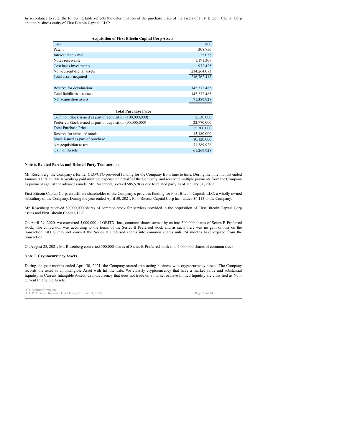In accordance to rule, the following table reflects the determination of the purchase price of the assets of First Bitcoin Capital Corp and the business entity of First Bitcoin Capital, LLC:

| <b>Acquisition of First Bitcoin Capital Corp Assets</b> |  |
|---------------------------------------------------------|--|
|---------------------------------------------------------|--|

| Cash                       | 800           |
|----------------------------|---------------|
| Patent                     | 308,750       |
| Interest receivable        | 25,058        |
| Notes receivable           | 1,191,307     |
| Cost basis investments     | 972,425       |
| Non-current digital assets | 214,264,073   |
| Total assets acquired      | 216, 762, 413 |
|                            |               |
| Reserve for devaluation    | 145, 372, 485 |
| Total liabilities assumed  | 145,372,485   |
| Net acquisition assets     | 71,389,928    |
|                            |               |

| <b>Total Purchase Price</b>                                |            |
|------------------------------------------------------------|------------|
| Common Stock issued as part of acquisition (100,000,000)   | 2,530,000  |
| Preferred Stock issued as part of acquisition (90,000,000) | 22,770,000 |
| <b>Total Purchase Price</b>                                | 25,300,000 |
| Reserve for unissued stock                                 | 15,180,000 |
| Stock issued as part of purchase                           | 10,120,000 |
| Net acquisition assets                                     | 71,389,928 |
| Gain on Assets                                             | 61,269,928 |

### **Note 6. Related Parties and Related Party Transactions**

Mr. Rosenberg, the Company's former CEO/CFO provided funding for the Company from time to time. During the nine months ended January 31, 2022, Mr. Rosenberg paid multiple expense on behalf of the Company, and received multiple payments from the Company as payment against the advances made. Mr. Rosenberg is owed \$85,578 as due to related party as of January 31, 2022

First Bitcoin Capital Corp, an affiliate shareholder of the Company's provides funding for First Bitcoin Capital, LLC, a wholly owned subsidiary of the Company. During the year ended April 30, 2021, First Bitcoin Capital Corp has funded \$6,113 to the Company.

Mr. Rosenberg received 80,000,000 shares of common stock for services provided in the acquisition of First Bitcoin Capital Corp assets and First Bitcoin Capital, LLC.

On April 29, 2020, we converted 5,000,000 of OBITX, Inc., common shares owned by us into 500,000 shares of Series B Preferred stock. The conversion was according to the terms of the Series B Preferred stock and as such there was no gain or loss on the transaction. BOTS may not convert the Series B Preferred shares into common shares until 24 months have expired from the transaction.

On August 23, 2021, Mr. Rosenberg converted 500,000 shares of Series B Preferred stock into 5,000,000 shares of common stock.

### **Note 7. Cryptocurrency Assets**

During the year months ended April 30, 2021, the Company started transacting business with cryptocurrency assets. The Company records the asset as an Intangible Asset with Infinite Life. We classify cryptocurrency that have a market value and substantial liquidity as Current Intangible Assets. Cryptocurrency that does not trade on a market or have limited liquidity are classified as Noncurrent Intangible Assets.

| OTC Markets Group Inc.                                    |               |
|-----------------------------------------------------------|---------------|
| OTC Pink Basic Disclosure Guidelines (v3.1 June 24, 2021) | Page 22 of 14 |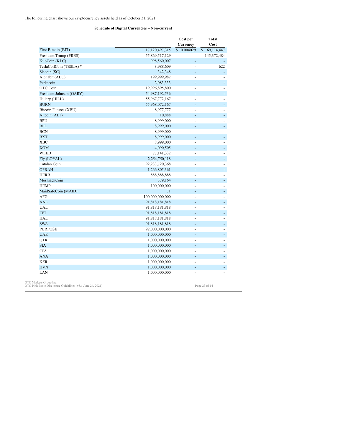### **Schedule of Digital Currencies – Non-current**

|                          |                 | Cost per<br>Currency     | <b>Total</b><br>Cost       |
|--------------------------|-----------------|--------------------------|----------------------------|
| First Bitcoin (BIT)      | 17,120,497,315  | \$ 0.004029              | $\mathbb{S}$<br>69,114,447 |
| President Trump (PRES)   | 55,869,517,129  | $\overline{a}$           | 145,372,484                |
| KiloCoin (KLC)           | 998,560,007     | $\overline{a}$           |                            |
| TeslaCoilCoin (TESLA) *  | 3,988,609       | $\overline{a}$           | 622                        |
| Siacoin (SC)             | 342,348         | ÷,                       | ÷,                         |
| Alphabit (ABC)           | 199,999,982     | $\overline{a}$           | $\overline{\phantom{a}}$   |
| Perkscoin                | 2,083,333       | $\overline{a}$           | ÷,                         |
| OTC Coin                 | 19,996,895,800  | $\overline{a}$           | ÷,                         |
| President Johnson (GARY) | 54,987,192,536  |                          | ÷,                         |
| Hillary (HILL)           | 55,967,772,167  | ÷,                       |                            |
| <b>BURN</b>              | 55,968,072,167  | ٠                        | ٠                          |
| Bitcoin Futures (XBU)    | 8,977,777       | $\overline{a}$           | ÷,                         |
| Alteoin (ALT)            | 10,888          | $\overline{a}$           | ÷,                         |
| <b>BPU</b>               | 8,999,000       | $\overline{a}$           | $\overline{\phantom{a}}$   |
| <b>BPL</b>               | 8,999,000       | $\overline{a}$           | ÷,                         |
| <b>BCN</b>               | 8,999,000       | L,                       |                            |
| <b>BXT</b>               | 8,999,000       | Ξ                        |                            |
| <b>XBC</b>               | 8,999,000       | ÷.                       | $\overline{a}$             |
| <b>XOM</b>               | 4,090,505       | $\overline{a}$           | ÷,                         |
| <b>WEED</b>              | 77,141,332      | $\overline{\phantom{a}}$ |                            |
| Fly (LOYAL)              | 2,254,750,118   | $\overline{a}$           | ÷,                         |
| Catalan Coin             | 92,233,720,368  | ÷,                       |                            |
| <b>OPRAH</b>             | 1,266,805,361   | ÷,                       | ÷,                         |
| <b>HERB</b>              | 888, 888, 888   | $\overline{a}$           | ÷.                         |
| MoshiachCoin             | 379,164         |                          |                            |
| <b>HEMP</b>              | 100,000,000     | ÷,                       | ÷,                         |
| MaidSafeCoin (MAID)      | 71              | $\blacksquare$           | ÷,                         |
| <b>AFG</b>               | 100,000,000,000 | ÷.                       | ÷.                         |
| AAL                      | 91,818,181,818  | $\overline{a}$           | L.                         |
| <b>UAL</b>               | 91,818,181,818  | $\blacksquare$           | $\overline{\phantom{0}}$   |
| <b>FFT</b>               | 91,818,181,818  | ÷,                       | ٠                          |
| <b>HAL</b>               | 91,818,181,818  |                          |                            |
| <b>SWA</b>               | 91,818,181,818  | $\blacksquare$           | ÷,                         |
| <b>PURPOSE</b>           | 92,000,000,000  | $\overline{a}$           | ÷.                         |
| <b>UAE</b>               | 1,000,000,000   | $\overline{a}$           | ä,                         |
| QTR                      | 1,000,000,000   | $\overline{\phantom{a}}$ | $\overline{\phantom{0}}$   |
| <b>SIA</b>               | 1,000,000,000   | $\overline{a}$           | ٠                          |
| <b>CPA</b>               | 1,000,000,000   | $\overline{a}$           |                            |
| <b>ANA</b>               | 1,000,000,000   | $\blacksquare$           |                            |
| <b>KZR</b>               | 1,000,000,000   | $\overline{a}$           |                            |
| <b>HVN</b>               | 1,000,000,000   |                          |                            |
| LAN                      | 1,000,000,000   |                          |                            |

OTC Markets Group Inc. OTC Pink Basic Disclosure Guidelines (v3.1 June 24, 2021) Page 23 of 14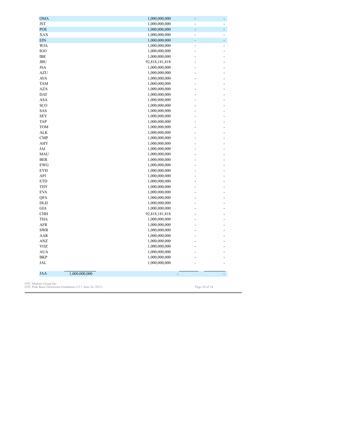| <b>JAA</b> | 1,000,000,000 | ٠                              |                |
|------------|---------------|--------------------------------|----------------|
| JAL        |               | 1,000,000,000                  |                |
| <b>BKP</b> |               | 1,000,000,000                  |                |
| <b>AUA</b> |               | 1,000,000,000                  |                |
| <b>VOZ</b> |               | 1,000,000,000                  |                |
| <b>ANZ</b> |               | 1,000,000,000                  |                |
| AAR        |               | 1,000,000,000                  |                |
| <b>SWR</b> |               | 1,000,000,000                  |                |
| <b>AFR</b> |               | 1,000,000,000                  |                |
| <b>THA</b> |               | 1,000,000,000                  |                |
| <b>CHH</b> |               | 92,818,181,818                 |                |
| GIA        |               | 1,000,000,000                  |                |
| DLH        |               | 1,000,000,000                  |                |
| QFA        |               | 1,000,000,000                  |                |
| <b>EVA</b> |               | 1,000,000,000                  |                |
| <b>THY</b> |               | 1,000,000,000                  |                |
| <b>ETD</b> |               | 1,000,000,000                  |                |
| APJ        |               | 1,000,000,000                  |                |
| <b>EYH</b> |               | 1,000,000,000                  |                |
| <b>EWG</b> |               | 1,000,000,000                  |                |
| <b>BER</b> |               | 1,000,000,000                  |                |
| MAU        |               | 1,000,000,000                  |                |
| JAI        |               | 1,000,000,000                  |                |
| <b>AHY</b> |               | 1,000,000,000                  |                |
| <b>CMP</b> |               | 1,000,000,000                  |                |
| <b>ALK</b> |               | 1,000,000,000                  |                |
| <b>TOM</b> |               | 1,000,000,000                  |                |
| <b>TAP</b> |               | 1,000,000,000                  |                |
| <b>SEY</b> |               | 1,000,000,000                  |                |
| SAS        |               | 1,000,000,000                  |                |
| SCO        |               | 1,000,000,000                  |                |
| <b>ASA</b> |               | 1,000,000,000                  |                |
| <b>DAT</b> |               | 1,000,000,000                  |                |
| <b>AZA</b> |               | 1,000,000,000                  |                |
| <b>TAM</b> |               | 1,000,000,000                  |                |
| <b>AVA</b> |               | 1,000,000,000                  |                |
| <b>AZU</b> |               | 1,000,000,000                  |                |
| <b>JSA</b> |               | 1,000,000,000                  |                |
| <b>JBU</b> |               | 92,818,181,818                 |                |
| <b>IBE</b> |               | 1,000,000,000                  |                |
| IGO        |               | 1,000,000,000                  | -              |
| <b>WJA</b> |               | 1,000,000,000                  | $\overline{a}$ |
| <b>EIN</b> |               | 1,000,000,000                  | ٠              |
| XAX        |               | 1,000,000,000<br>1,000,000,000 | $\overline{a}$ |
| POE        |               |                                | -              |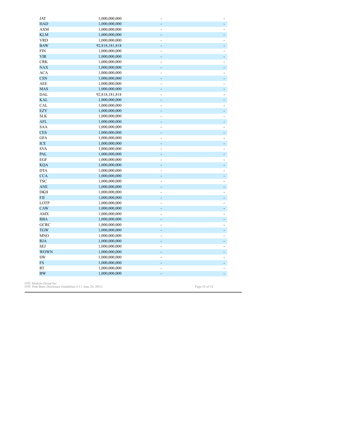| <b>JAT</b>  | 1,000,000,000  |                          |                              |
|-------------|----------------|--------------------------|------------------------------|
| <b>HAD</b>  | 1,000,000,000  |                          |                              |
| <b>AXM</b>  | 1,000,000,000  |                          |                              |
| <b>KLM</b>  | 1,000,000,000  |                          | ä,                           |
| <b>VRD</b>  | 1,000,000,000  | ٠                        | $\overline{\phantom{a}}$     |
| <b>BAW</b>  | 92,818,181,818 | ÷,                       | ä,                           |
| <b>FIN</b>  | 1,000,000,000  | ÷,                       |                              |
| <b>VIR</b>  | 1,000,000,000  | ٠                        | ÷,                           |
| <b>CRK</b>  | 1,000,000,000  | ÷,                       | $\qquad \qquad \blacksquare$ |
| <b>NAX</b>  | 1,000,000,000  | ٠                        | ÷,                           |
| <b>ACA</b>  | 1,000,000,000  | ÷,                       | $\blacksquare$               |
| <b>CSN</b>  | 1,000,000,000  | ٠                        | ÷                            |
| <b>AEE</b>  | 1,000,000,000  | ÷                        | $\overline{\phantom{a}}$     |
| <b>MAS</b>  | 1,000,000,000  | ÷,                       | $\blacksquare$               |
| DAL         | 92,818,181,818 | ÷,                       | ÷,                           |
| <b>KAL</b>  | 1,000,000,000  |                          | ÷,                           |
| CAL         | 1,000,000,000  |                          |                              |
| <b>EZY</b>  | 1,000,000,000  |                          | ÷,                           |
| <b>SLK</b>  | 1,000,000,000  | ÷                        | ÷,                           |
| <b>AFL</b>  | 1,000,000,000  | ÷,                       | Ξ                            |
| <b>SAA</b>  | 1,000,000,000  | ÷,                       | ÷,                           |
| <b>CES</b>  | 1,000,000,000  |                          |                              |
| <b>GFA</b>  | 1,000,000,000  | ÷                        | ÷                            |
| <b>ICE</b>  | 1,000,000,000  | ÷,                       | ÷                            |
| <b>SVA</b>  | 1,000,000,000  | $\blacksquare$           | $\overline{a}$               |
| PAL         | 1,000,000,000  | ٠                        | Ξ                            |
| EGF         | 1,000,000,000  | ÷,                       | $\overline{\phantom{a}}$     |
| <b>KQA</b>  | 1,000,000,000  | L,                       | ÷                            |
| <b>DTA</b>  | 1,000,000,000  | ÷,                       | ÷,                           |
| <b>CCA</b>  | 1,000,000,000  |                          | ÷,                           |
| <b>TSC</b>  | 1,000,000,000  |                          | ÷,                           |
| <b>ANE</b>  | 1,000,000,000  |                          | ÷.                           |
| <b>DKH</b>  | 1,000,000,000  | L,                       | ÷,                           |
| <b>FJI</b>  | 1,000,000,000  | ÷                        | $\overline{a}$               |
| LOTP        | 1,000,000,000  | ÷,                       | ÷,                           |
| CAW         | 1,000,000,000  | ÷,                       | ÷,                           |
| <b>AMX</b>  | 1,000,000,000  | ÷,                       | $\overline{\phantom{a}}$     |
| <b>RBA</b>  | 1,000,000,000  | ÷                        | ÷                            |
| <b>GCRC</b> | 1,000,000,000  | $\overline{\phantom{a}}$ | $\overline{\phantom{a}}$     |
| <b>TGW</b>  | 1,000,000,000  | -                        | ÷                            |
| <b>MNO</b>  | 1,000,000,000  | ÷,                       | $\overline{\phantom{a}}$     |
| <b>RJA</b>  | 1,000,000,000  | $\overline{a}$           | $\blacksquare$               |
| <b>SEJ</b>  | 1,000,000,000  | ÷,                       | $\overline{\phantom{a}}$     |
| <b>WOWN</b> | 1,000,000,000  | ÷,                       | $\blacksquare$               |
| SW          | 1,000,000,000  |                          |                              |
| <b>FS</b>   | 1,000,000,000  |                          |                              |
| RT          | 1,000,000,000  | ÷                        |                              |
| <b>BW</b>   | 1,000,000,000  |                          |                              |
|             |                |                          |                              |

OTC Markets Group Inc.<br>OTC Pink Basic Disclosure Guidelines (v3.1 June 24, 2021) Page 25 of 14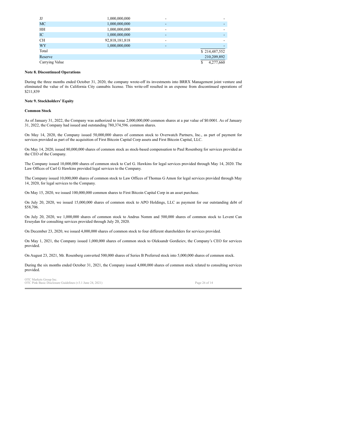| JJ             | 1,000,000,000  | -                        | -             |
|----------------|----------------|--------------------------|---------------|
| <b>MC</b>      | 1,000,000,000  | ٠                        | -             |
| HH             | 1,000,000,000  | $\overline{\phantom{a}}$ | -             |
| IC             | 1,000,000,000  | ٠                        | -             |
| <b>CH</b>      | 92,818,181,818 | $\overline{\phantom{a}}$ | -             |
| <b>WY</b>      | 1,000,000,000  | ٠                        | -             |
| Total          |                |                          | \$214,487,552 |
| Reserve        |                |                          | 210,209,892   |
| Carrying Value |                |                          | 4,277,660     |

### **Note 8. Discontinued Operations**

During the three months ended October 31, 2020, the company wrote-off its investments into BRRX Management joint venture and eliminated the value of its California City cannabis license. This write-off resulted in an expense from discontinued operations of \$211,839

### **Note 9. Stockholders' Equity**

### **Common Stock**

As of January 31, 2022, the Company was authorized to issue 2,000,000,000 common shares at a par value of \$0.0001. As of January 31, 2022, the Company had issued and outstanding 780,374,596. common shares.

On May 14, 2020, the Company issued 50,000,000 shares of common stock to Overwatch Partners, Inc., as part of payment for services provided as part of the acquisition of First Bitcoin Capital Corp assets and First Bitcoin Capital, LLC.

On May 14, 2020, issued 80,000,000 shares of common stock as stock-based compensation to Paul Rosenberg for services provided as the CEO of the Company.

The Company issued 10,000,000 shares of common stock to Carl G. Hawkins for legal services provided through May 14, 2020. The Law Offices of Carl G Hawkins provided legal services to the Company.

The Company issued 10,000,000 shares of common stock to Law Offices of Thomas G Amon for legal services provided through May 14, 2020, for legal services to the Company.

On May 15, 2020, we issued 100,000,000 common shares to First Bitcoin Capital Corp in an asset purchase.

On July 20, 2020, we issued 15,000,000 shares of common stock to APO Holdings, LLC as payment for our outstanding debt of \$58,706.

On July 20, 2020, we 1,000,000 shares of common stock to Andrus Nomm and 500,000 shares of common stock to Levent Can Ersoydan for consulting services provided through July 20, 2020.

On December 23, 2020, we issued 4,000,000 shares of common stock to four different shareholders for services provided.

On May 1, 2021, the Company issued 1,000,000 shares of common stock to Oleksandr Gordieiev, the Company's CEO for services provided.

On August 23, 2021, Mr. Rosenberg converted 500,000 shares of Series B Preferred stock into 5,000,000 shares of common stock.

During the six months ended October 31, 2021, the Company issued 4,000,000 shares of common stock related to consulting services provided.

OTC Markets Group Inc.<br>OTC Pink Basic Disclosure Guidelines (v3.1 June 24, 2021) Page 26 of 14